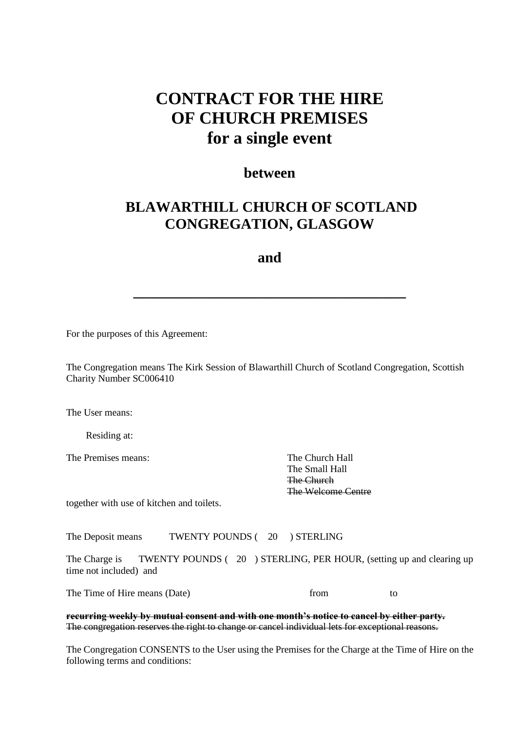## **CONTRACT FOR THE HIRE OF CHURCH PREMISES for a single event**

## **between**

## **BLAWARTHILL CHURCH OF SCOTLAND CONGREGATION, GLASGOW**

## **and**

**\_\_\_\_\_\_\_\_\_\_\_\_\_\_\_\_\_\_\_\_\_\_\_\_\_\_\_\_\_\_\_\_\_\_\_\_\_**

For the purposes of this Agreement:

The Congregation means The Kirk Session of Blawarthill Church of Scotland Congregation, Scottish Charity Number SC006410

The Heer means:

Residing at:

The Premises means: The Church Hall

The Small Hall The Church The Welcome Centre

together with use of kitchen and toilets.

The Deposit means TWENTY POUNDS (20) STERLING

The Charge is TWENTY POUNDS ( 20 ) STERLING, PER HOUR, (setting up and clearing up time not included) and

The Time of Hire means (Date) from to to from to to the Time of Hire means (Date) from to to the Time of Hire means (Date) from to to the Time of Hire means (Date) from the to the Time of the Time of the Time of the Time o

**recurring weekly by mutual consent and with one month's notice to cancel by either party.** The congregation reserves the right to change or cancel individual lets for exceptional reasons.

The Congregation CONSENTS to the User using the Premises for the Charge at the Time of Hire on the following terms and conditions: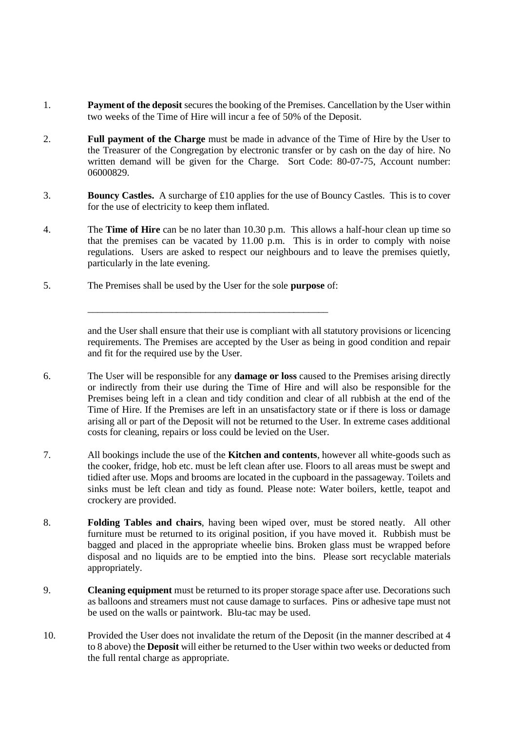- 1. **Payment of the deposit** secures the booking of the Premises. Cancellation by the User within two weeks of the Time of Hire will incur a fee of 50% of the Deposit.
- 2. **Full payment of the Charge** must be made in advance of the Time of Hire by the User to the Treasurer of the Congregation by electronic transfer or by cash on the day of hire. No written demand will be given for the Charge. Sort Code: 80-07-75, Account number: 06000829.
- 3. **Bouncy Castles.** A surcharge of £10 applies for the use of Bouncy Castles. This is to cover for the use of electricity to keep them inflated.
- 4. The **Time of Hire** can be no later than 10.30 p.m. This allows a half-hour clean up time so that the premises can be vacated by 11.00 p.m. This is in order to comply with noise regulations. Users are asked to respect our neighbours and to leave the premises quietly, particularly in the late evening.
- 5. The Premises shall be used by the User for the sole **purpose** of:

\_\_\_\_\_\_\_\_\_\_\_\_\_\_\_\_\_\_\_\_\_\_\_\_\_\_\_\_\_\_\_\_\_\_\_\_\_\_\_\_\_\_\_\_\_\_\_\_\_

and the User shall ensure that their use is compliant with all statutory provisions or licencing requirements. The Premises are accepted by the User as being in good condition and repair and fit for the required use by the User.

- 6. The User will be responsible for any **damage or loss** caused to the Premises arising directly or indirectly from their use during the Time of Hire and will also be responsible for the Premises being left in a clean and tidy condition and clear of all rubbish at the end of the Time of Hire. If the Premises are left in an unsatisfactory state or if there is loss or damage arising all or part of the Deposit will not be returned to the User. In extreme cases additional costs for cleaning, repairs or loss could be levied on the User.
- 7. All bookings include the use of the **Kitchen and contents**, however all white-goods such as the cooker, fridge, hob etc. must be left clean after use. Floors to all areas must be swept and tidied after use. Mops and brooms are located in the cupboard in the passageway. Toilets and sinks must be left clean and tidy as found. Please note: Water boilers, kettle, teapot and crockery are provided.
- 8. **Folding Tables and chairs**, having been wiped over, must be stored neatly. All other furniture must be returned to its original position, if you have moved it. Rubbish must be bagged and placed in the appropriate wheelie bins. Broken glass must be wrapped before disposal and no liquids are to be emptied into the bins. Please sort recyclable materials appropriately.
- 9. **Cleaning equipment** must be returned to its proper storage space after use. Decorations such as balloons and streamers must not cause damage to surfaces. Pins or adhesive tape must not be used on the walls or paintwork. Blu-tac may be used.
- 10. Provided the User does not invalidate the return of the Deposit (in the manner described at 4 to 8 above) the **Deposit** will either be returned to the User within two weeks or deducted from the full rental charge as appropriate.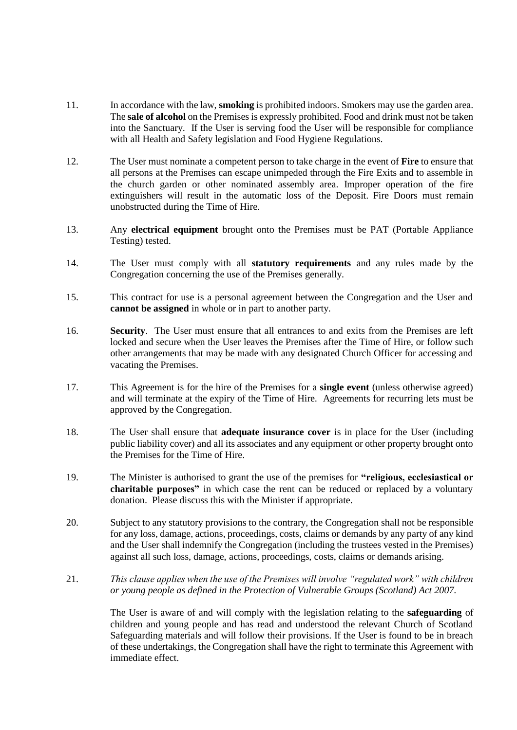- 11. In accordance with the law, **smoking** is prohibited indoors. Smokers may use the garden area. The **sale of alcohol** on the Premises is expressly prohibited. Food and drink must not be taken into the Sanctuary. If the User is serving food the User will be responsible for compliance with all Health and Safety legislation and Food Hygiene Regulations.
- 12. The User must nominate a competent person to take charge in the event of **Fire** to ensure that all persons at the Premises can escape unimpeded through the Fire Exits and to assemble in the church garden or other nominated assembly area. Improper operation of the fire extinguishers will result in the automatic loss of the Deposit. Fire Doors must remain unobstructed during the Time of Hire.
- 13. Any **electrical equipment** brought onto the Premises must be PAT (Portable Appliance Testing) tested.
- 14. The User must comply with all **statutory requirements** and any rules made by the Congregation concerning the use of the Premises generally.
- 15. This contract for use is a personal agreement between the Congregation and the User and **cannot be assigned** in whole or in part to another party.
- 16. **Security**. The User must ensure that all entrances to and exits from the Premises are left locked and secure when the User leaves the Premises after the Time of Hire, or follow such other arrangements that may be made with any designated Church Officer for accessing and vacating the Premises.
- 17. This Agreement is for the hire of the Premises for a **single event** (unless otherwise agreed) and will terminate at the expiry of the Time of Hire. Agreements for recurring lets must be approved by the Congregation.
- 18. The User shall ensure that **adequate insurance cover** is in place for the User (including public liability cover) and all its associates and any equipment or other property brought onto the Premises for the Time of Hire.
- 19. The Minister is authorised to grant the use of the premises for **"religious, ecclesiastical or charitable purposes"** in which case the rent can be reduced or replaced by a voluntary donation. Please discuss this with the Minister if appropriate.
- 20. Subject to any statutory provisions to the contrary, the Congregation shall not be responsible for any loss, damage, actions, proceedings, costs, claims or demands by any party of any kind and the User shall indemnify the Congregation (including the trustees vested in the Premises) against all such loss, damage, actions, proceedings, costs, claims or demands arising.
- 21. *This clause applies when the use of the Premises will involve "regulated work" with children or young people as defined in the Protection of Vulnerable Groups (Scotland) Act 2007.*

The User is aware of and will comply with the legislation relating to the **safeguarding** of children and young people and has read and understood the relevant Church of Scotland Safeguarding materials and will follow their provisions. If the User is found to be in breach of these undertakings, the Congregation shall have the right to terminate this Agreement with immediate effect.